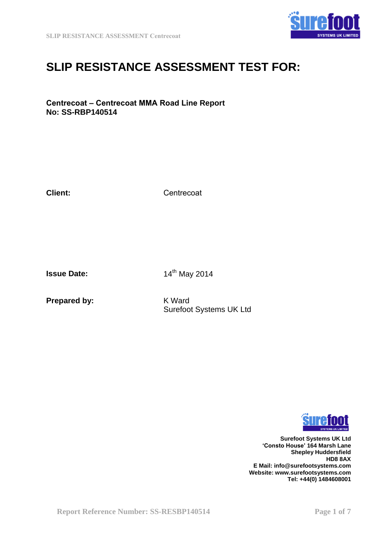

# **SLIP RESISTANCE ASSESSMENT TEST FOR:**

## **Centrecoat – Centrecoat MMA Road Line Report No: SS-RBP140514**

**Client:**

**Centrecoat** 

**Issue Date:** 

14th May 2014

**Prepared by:** 

K Ward Surefoot Systems UK Ltd



**Surefoot Systems UK Ltd 'Consto House' 164 Marsh Lane Shepley Huddersfield HD8 8AX E Mail: info@surefootsystems.com Website: www.surefootsystems.com Tel: +44(0) 1484608001**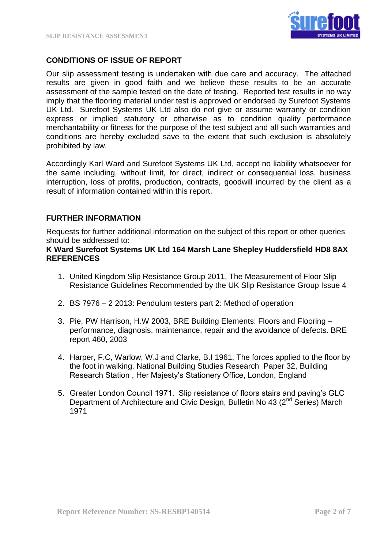

# **CONDITIONS OF ISSUE OF REPORT**

Our slip assessment testing is undertaken with due care and accuracy. The attached results are given in good faith and we believe these results to be an accurate assessment of the sample tested on the date of testing. Reported test results in no way imply that the flooring material under test is approved or endorsed by Surefoot Systems UK Ltd. Surefoot Systems UK Ltd also do not give or assume warranty or condition express or implied statutory or otherwise as to condition quality performance merchantability or fitness for the purpose of the test subject and all such warranties and conditions are hereby excluded save to the extent that such exclusion is absolutely prohibited by law.

Accordingly Karl Ward and Surefoot Systems UK Ltd, accept no liability whatsoever for the same including, without limit, for direct, indirect or consequential loss, business interruption, loss of profits, production, contracts, goodwill incurred by the client as a result of information contained within this report.

## **FURTHER INFORMATION**

Requests for further additional information on the subject of this report or other queries should be addressed to:

## **K Ward Surefoot Systems UK Ltd 164 Marsh Lane Shepley Huddersfield HD8 8AX REFERENCES**

- 1. United Kingdom Slip Resistance Group 2011, The Measurement of Floor Slip Resistance Guidelines Recommended by the UK Slip Resistance Group Issue 4
- 2. BS 7976 2 2013: Pendulum testers part 2: Method of operation
- 3. Pie, PW Harrison, H.W 2003, BRE Building Elements: Floors and Flooring performance, diagnosis, maintenance, repair and the avoidance of defects. BRE report 460, 2003
- 4. Harper, F.C, Warlow, W.J and Clarke, B.I 1961, The forces applied to the floor by the foot in walking. National Building Studies Research Paper 32, Building Research Station , Her Majesty's Stationery Office, London, England
- 5. Greater London Council 1971. Slip resistance of floors stairs and paving's GLC Department of Architecture and Civic Design, Bulletin No 43 (2<sup>nd</sup> Series) March 1971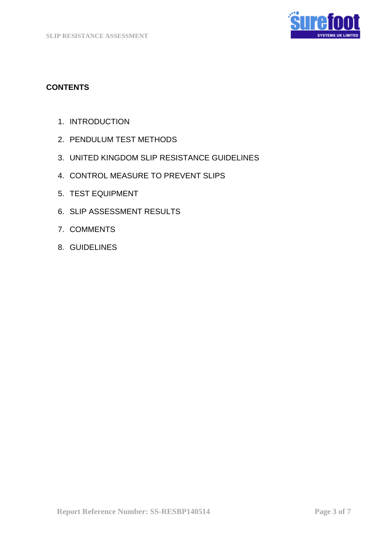

# **CONTENTS**

- 1. INTRODUCTION
- 2. PENDULUM TEST METHODS
- 3. UNITED KINGDOM SLIP RESISTANCE GUIDELINES
- 4. CONTROL MEASURE TO PREVENT SLIPS
- 5. TEST EQUIPMENT
- 6. SLIP ASSESSMENT RESULTS
- 7. COMMENTS
- 8. GUIDELINES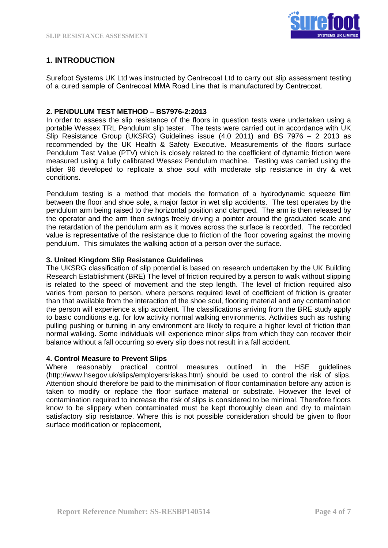

# **1. INTRODUCTION**

Surefoot Systems UK Ltd was instructed by Centrecoat Ltd to carry out slip assessment testing of a cured sample of Centrecoat MMA Road Line that is manufactured by Centrecoat.

#### **2. PENDULUM TEST METHOD – BS7976-2:2013**

In order to assess the slip resistance of the floors in question tests were undertaken using a portable Wessex TRL Pendulum slip tester. The tests were carried out in accordance with UK Slip Resistance Group (UKSRG) Guidelines issue (4.0 2011) and BS 7976 – 2 2013 as recommended by the UK Health & Safety Executive. Measurements of the floors surface Pendulum Test Value (PTV) which is closely related to the coefficient of dynamic friction were measured using a fully calibrated Wessex Pendulum machine. Testing was carried using the slider 96 developed to replicate a shoe soul with moderate slip resistance in dry & wet conditions.

Pendulum testing is a method that models the formation of a hydrodynamic squeeze film between the floor and shoe sole, a major factor in wet slip accidents. The test operates by the pendulum arm being raised to the horizontal position and clamped. The arm is then released by the operator and the arm then swings freely driving a pointer around the graduated scale and the retardation of the pendulum arm as it moves across the surface is recorded. The recorded value is representative of the resistance due to friction of the floor covering against the moving pendulum. This simulates the walking action of a person over the surface.

#### **3. United Kingdom Slip Resistance Guidelines**

The UKSRG classification of slip potential is based on research undertaken by the UK Building Research Establishment (BRE) The level of friction required by a person to walk without slipping is related to the speed of movement and the step length. The level of friction required also varies from person to person, where persons required level of coefficient of friction is greater than that available from the interaction of the shoe soul, flooring material and any contamination the person will experience a slip accident. The classifications arriving from the BRE study apply to basic conditions e.g. for low activity normal walking environments. Activities such as rushing pulling pushing or turning in any environment are likely to require a higher level of friction than normal walking. Some individuals will experience minor slips from which they can recover their balance without a fall occurring so every slip does not result in a fall accident.

#### **4. Control Measure to Prevent Slips**

Where reasonably practical control measures outlined in the HSE guidelines (http://www.hsegov.uk/slips/employersriskas.htm) should be used to control the risk of slips. Attention should therefore be paid to the minimisation of floor contamination before any action is taken to modify or replace the floor surface material or substrate. However the level of contamination required to increase the risk of slips is considered to be minimal. Therefore floors know to be slippery when contaminated must be kept thoroughly clean and dry to maintain satisfactory slip resistance. Where this is not possible consideration should be given to floor surface modification or replacement.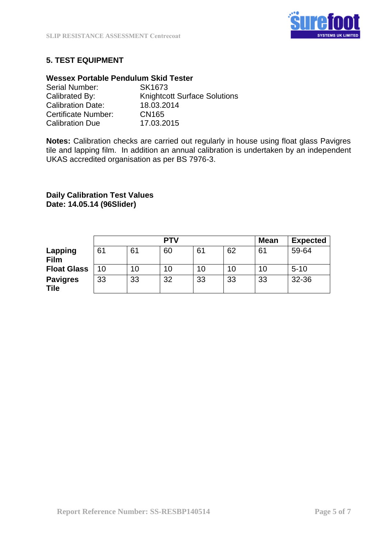

# **5. TEST EQUIPMENT**

## **Wessex Portable Pendulum Skid Tester**

| Serial Number:           | SK1673                              |
|--------------------------|-------------------------------------|
| Calibrated By:           | <b>Knightcott Surface Solutions</b> |
| <b>Calibration Date:</b> | 18.03.2014                          |
| Certificate Number:      | CN165                               |
| <b>Calibration Due</b>   | 17.03.2015                          |

**Notes:** Calibration checks are carried out regularly in house using float glass Pavigres tile and lapping film. In addition an annual calibration is undertaken by an independent UKAS accredited organisation as per BS 7976-3.

# **Daily Calibration Test Values Date: 14.05.14 (96Slider)**

|                                | PTV |    |    |    | <b>Mean</b> | <b>Expected</b> |          |
|--------------------------------|-----|----|----|----|-------------|-----------------|----------|
| Lapping<br><b>Film</b>         | 61  | 61 | 60 | 61 | 62          | 61              | 59-64    |
| <b>Float Glass</b>             | 10  | 10 | 10 | 10 | 10          | 10              | $5 - 10$ |
| <b>Pavigres</b><br><b>Tile</b> | 33  | 33 | 32 | 33 | 33          | 33              | 32-36    |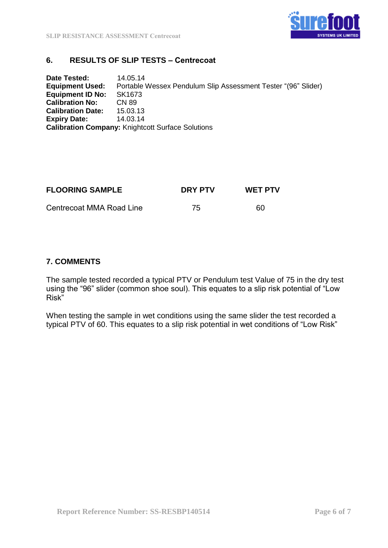

## **6. RESULTS OF SLIP TESTS – Centrecoat**

**Date Tested:** 14.05.14 **Equipment Used:** Portable Wessex Pendulum Slip Assessment Tester "(96" Slider) **Equipment ID No:** SK1673 **Calibration No: CN 89<br>Calibration Date: 15.03.13 Calibration Date: Expiry Date:** 14.03.14 **Calibration Company:** Knightcott Surface Solutions

| <b>FLOORING SAMPLE</b>   | <b>DRY PTV</b> | <b>WET PTV</b> |
|--------------------------|----------------|----------------|
| Centrecoat MMA Road Line | 75             | 60             |

## **7. COMMENTS**

The sample tested recorded a typical PTV or Pendulum test Value of 75 in the dry test using the "96" slider (common shoe soul). This equates to a slip risk potential of "Low Risk"

When testing the sample in wet conditions using the same slider the test recorded a typical PTV of 60. This equates to a slip risk potential in wet conditions of "Low Risk"